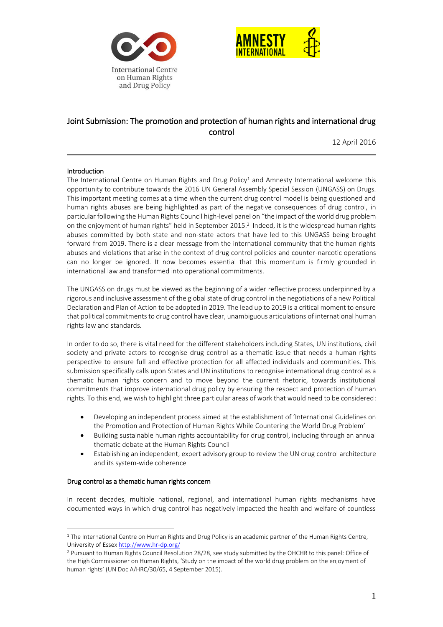



# Joint Submission: The promotion and protection of human rights and international drug control

12 April 2016

## Introduction

The International Centre on Human Rights and Drug Policy<sup>1</sup> and Amnesty International welcome this opportunity to contribute towards the 2016 UN General Assembly Special Session (UNGASS) on Drugs. This important meeting comes at a time when the current drug control model is being questioned and human rights abuses are being highlighted as part of the negative consequences of drug control, in particular following the Human Rights Council high-level panel on "the impact of the world drug problem on the enjoyment of human rights" held in September 2015.<sup>2</sup> Indeed, it is the widespread human rights abuses committed by both state and non-state actors that have led to this UNGASS being brought forward from 2019. There is a clear message from the international community that the human rights abuses and violations that arise in the context of drug control policies and counter-narcotic operations can no longer be ignored. It now becomes essential that this momentum is firmly grounded in international law and transformed into operational commitments.

The UNGASS on drugs must be viewed as the beginning of a wider reflective process underpinned by a rigorous and inclusive assessment of the global state of drug control in the negotiations of a new Political Declaration and Plan of Action to be adopted in 2019. The lead up to 2019 is a critical moment to ensure that political commitments to drug control have clear, unambiguous articulations of international human rights law and standards.

In order to do so, there is vital need for the different stakeholders including States, UN institutions, civil society and private actors to recognise drug control as a thematic issue that needs a human rights perspective to ensure full and effective protection for all affected individuals and communities. This submission specifically calls upon States and UN institutions to recognise international drug control as a thematic human rights concern and to move beyond the current rhetoric, towards institutional commitments that improve international drug policy by ensuring the respect and protection of human rights. To this end, we wish to highlight three particular areas of work that would need to be considered:

- Developing an independent process aimed at the establishment of 'International Guidelines on the Promotion and Protection of Human Rights While Countering the World Drug Problem'
- Building sustainable human rights accountability for drug control, including through an annual thematic debate at the Human Rights Council
- Establishing an independent, expert advisory group to review the UN drug control architecture and its system-wide coherence

#### Drug control as a thematic human rights concern

 $\overline{a}$ 

In recent decades, multiple national, regional, and international human rights mechanisms have documented ways in which drug control has negatively impacted the health and welfare of countless

<sup>&</sup>lt;sup>1</sup> The International Centre on Human Rights and Drug Policy is an academic partner of the Human Rights Centre, University of Esse[x http://www.hr-dp.org/](http://www.hr-dp.org/)

<sup>2</sup> Pursuant to Human Rights Council Resolution 28/28, see study submitted by the OHCHR to this panel: Office of the High Commissioner on Human Rights, 'Study on the impact of the world drug problem on the enjoyment of human rights' (UN Doc A/HRC/30/65, 4 September 2015).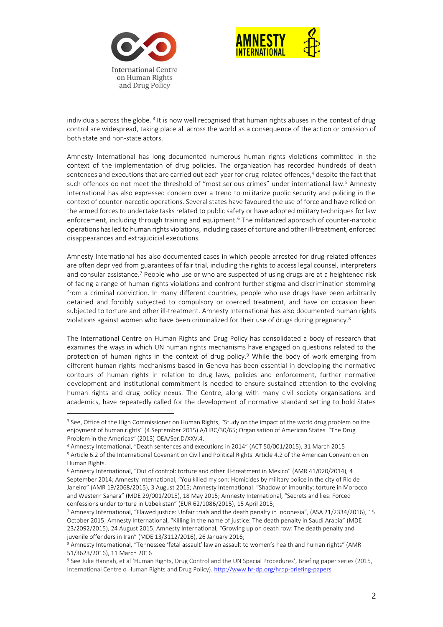

 $\overline{a}$ 



individuals across the globe.<sup>3</sup> It is now well recognised that human rights abuses in the context of drug control are widespread, taking place all across the world as a consequence of the action or omission of both state and non-state actors.

Amnesty International has long documented numerous human rights violations committed in the context of the implementation of drug policies. The organization has recorded hundreds of death sentences and executions that are carried out each year for drug-related offences,<sup>4</sup> despite the fact that such offences do not meet the threshold of "most serious crimes" under international law.<sup>5</sup> Amnesty International has also expressed concern over a trend to militarize public security and policing in the context of counter-narcotic operations. Several states have favoured the use of force and have relied on the armed forces to undertake tasks related to public safety or have adopted military techniques for law enforcement, including through training and equipment.<sup>6</sup> The militarized approach of counter-narcotic operations has led to human rights violations, including cases of torture and other ill-treatment, enforced disappearances and extrajudicial executions.

Amnesty International has also documented cases in which people arrested for drug-related offences are often deprived from guarantees of fair trial, including the rights to access legal counsel, interpreters and consular assistance.<sup>7</sup> People who use or who are suspected of using drugs are at a heightened risk of facing a range of human rights violations and confront further stigma and discrimination stemming from a criminal conviction. In many different countries, people who use drugs have been arbitrarily detained and forcibly subjected to compulsory or coerced treatment, and have on occasion been subjected to torture and other ill-treatment. Amnesty International has also documented human rights violations against women who have been criminalized for their use of drugs during pregnancy.<sup>8</sup>

The International Centre on Human Rights and Drug Policy has consolidated a body of research that examines the ways in which UN human rights mechanisms have engaged on questions related to the protection of human rights in the context of drug policy.<sup>9</sup> While the body of work emerging from different human rights mechanisms based in Geneva has been essential in developing the normative contours of human rights in relation to drug laws, policies and enforcement, further normative development and institutional commitment is needed to ensure sustained attention to the evolving human rights and drug policy nexus. The Centre, along with many civil society organisations and academics, have repeatedly called for the development of normative standard setting to hold States

<sup>&</sup>lt;sup>3</sup> See, Office of the High Commissioner on Human Rights, "Study on the impact of the world drug problem on the enjoyment of human rights" (4 September 2015) A/HRC/30/65; Organisation of American States "The Drug Problem in the Americas" (2013) OEA/Ser.D/XXV.4.

<sup>4</sup> Amnesty International, "Death sentences and executions in 2014" (ACT 50/001/2015), 31 March 2015

<sup>5</sup> Article 6.2 of the International Covenant on Civil and Political Rights. Article 4.2 of the American Convention on Human Rights.

<sup>6</sup> Amnesty International, "Out of control: torture and other ill-treatment in Mexico" (AMR 41/020/2014), 4 September 2014; Amnesty International, "You killed my son: Homicides by military police in the city of Rio de Janeiro" (AMR 19/2068/2015), 3 August 2015; Amnesty International: "Shadow of impunity: torture in Morocco and Western Sahara" (MDE 29/001/2015), 18 May 2015; Amnesty International, "Secrets and lies: Forced confessions under torture in Uzbekistan" (EUR 62/1086/2015), 15 April 2015;

<sup>7</sup> Amnesty International, "Flawed justice: Unfair trials and the death penalty in Indonesia", (ASA 21/2334/2016), 15 October 2015; Amnesty International, "Killing in the name of justice: The death penalty in Saudi Arabia" (MDE 23/2092/2015), 24 August 2015; Amnesty International, "Growing up on death row: The death penalty and juvenile offenders in Iran" (MDE 13/3112/2016), 26 January 2016;

<sup>8</sup> Amnesty International, "Tennessee 'fetal assault' law an assault to women's health and human rights" (AMR 51/3623/2016), 11 March 2016

<sup>9</sup> See Julie Hannah, et al 'Human Rights, Drug Control and the UN Special Procedures', Briefing paper series (2015, International Centre o Human Rights and Drug Policy). <http://www.hr-dp.org/hrdp-briefing-papers>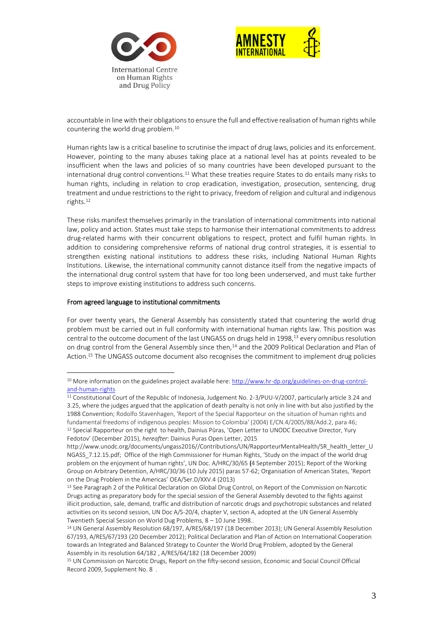



accountable in line with their obligations to ensure the full and effective realisation of human rights while countering the world drug problem.<sup>10</sup>

Human rights law is a critical baseline to scrutinise the impact of drug laws, policies and its enforcement. However, pointing to the many abuses taking place at a national level has at points revealed to be insufficient when the laws and policies of so many countries have been developed pursuant to the international drug control conventions.<sup>11</sup> What these treaties require States to do entails many risks to human rights, including in relation to crop eradication, investigation, prosecution, sentencing, drug treatment and undue restrictions to the right to privacy, freedom of religion and cultural and indigenous rights.<sup>12</sup>

These risks manifest themselves primarily in the translation of international commitments into national law, policy and action. States must take steps to harmonise their international commitments to address drug-related harms with their concurrent obligations to respect, protect and fulfil human rights. In addition to considering comprehensive reforms of national drug control strategies, it is essential to strengthen existing national institutions to address these risks, including National Human Rights Institutions. Likewise, the international community cannot distance itself from the negative impacts of the international drug control system that have for too long been underserved, and must take further steps to improve existing institutions to address such concerns.

#### From agreed language to institutional commitments

 $\overline{a}$ 

For over twenty years, the General Assembly has consistently stated that countering the world drug problem must be carried out in full conformity with international human rights law. This position was central to the outcome document of the last UNGASS on drugs held in 1998,<sup>13</sup> every omnibus resolution on drug control from the General Assembly since then,<sup>14</sup> and the 2009 Political Declaration and Plan of Action.<sup>15</sup> The UNGASS outcome document also recognises the commitment to implement drug policies

<sup>&</sup>lt;sup>10</sup> More information on the guidelines project available here[: http://www.hr-dp.org/guidelines-on-drug-control](http://www.hr-dp.org/guidelines-on-drug-control-and-human-rights)[and-human-rights](http://www.hr-dp.org/guidelines-on-drug-control-and-human-rights)

<sup>11</sup> Constitutional Court of the Republic of Indonesia, Judgement No. 2-3/PUU-V/2007, particularly article 3.24 and 3.25, where the judges argued that the application of death penalty is not only in line with but also justified by the 1988 Convention; Rodolfo Stavenhagen, 'Report of the Special Rapporteur on the situation of human rights and fundamental freedoms of indigenous peoples: Mission to Colombia' (2004) E/CN.4/2005/88/Add.2, para 46; <sup>12</sup> Special Rapporteur on the right to health, Dainius Pūras, 'Open Letter to UNODC Executive Director, Yury Fedotov' (December 2015), *hereafter*: Dainius Puras Open Letter, 2015

http://www.unodc.org/documents/ungass2016//Contributions/UN/RapporteurMentalHealth/SR\_health\_letter\_U NGASS\_7.12.15.pdf; Office of the High Commissioner for Human Rights, 'Study on the impact of the world drug problem on the enjoyment of human rights', UN Doc. A/HRC/30/65 (4 September 2015); Report of the Working Group on Arbitrary Detention, A/HRC/30/36 (10 July 2015) paras 57-62; Organisation of American States, 'Report on the Drug Problem in the Americas' OEA/Ser.D/XXV.4 (2013)

<sup>13</sup> See Paragraph 2 of the Political Declaration on Global Drug Control, on Report of the Commission on Narcotic Drugs acting as preparatory body for the special session of the General Assembly devoted to the fights against illicit production, sale, demand, traffic and distribution of narcotic drugs and psychotropic substances and related activities on its second session, UN Doc A/S-20/4, chapter V, section A, adopted at the UN General Assembly Twentieth Special Session on World Dug Problems, 8 – 10 June 1998..

<sup>&</sup>lt;sup>14</sup> UN General Assembly Resolution 68/197, A/RES/68/197 (18 December 2013); UN General Assembly Resolution 67/193, A/RES/67/193 (20 December 2012); Political Declaration and Plan of Action on International Cooperation towards an Integrated and Balanced Strategy to Counter the World Drug Problem, adopted by the General Assembly in its resolution 64/182 , A/RES/64/182 (18 December 2009)

<sup>15</sup> UN Commission on Narcotic Drugs, Report on the fifty-second session, Economic and Social Council Official Record 2009, Supplement No. 8 .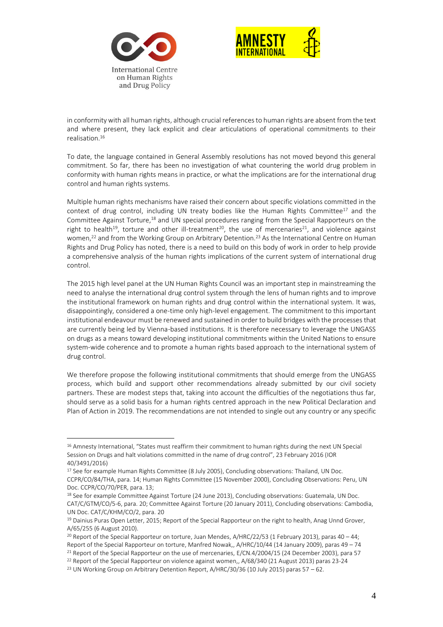



in conformity with all human rights, although crucial references to human rights are absent from the text and where present, they lack explicit and clear articulations of operational commitments to their realisation.<sup>16</sup>

To date, the language contained in General Assembly resolutions has not moved beyond this general commitment. So far, there has been no investigation of what countering the world drug problem in conformity with human rights means in practice, or what the implications are for the international drug control and human rights systems.

Multiple human rights mechanisms have raised their concern about specific violations committed in the context of drug control, including UN treaty bodies like the Human Rights Committee<sup>17</sup> and the Committee Against Torture,<sup>18</sup> and UN special procedures ranging from the Special Rapporteurs on the right to health<sup>19</sup>, torture and other ill-treatment<sup>20</sup>, the use of mercenaries<sup>21</sup>, and violence against women,<sup>22</sup> and from the Working Group on Arbitrary Detention.<sup>23</sup> As the International Centre on Human Rights and Drug Policy has noted, there is a need to build on this body of work in order to help provide a comprehensive analysis of the human rights implications of the current system of international drug control.

The 2015 high level panel at the UN Human Rights Council was an important step in mainstreaming the need to analyse the international drug control system through the lens of human rights and to improve the institutional framework on human rights and drug control within the international system. It was, disappointingly, considered a one-time only high-level engagement. The commitment to this important institutional endeavour must be renewed and sustained in order to build bridges with the processes that are currently being led by Vienna-based institutions. It is therefore necessary to leverage the UNGASS on drugs as a means toward developing institutional commitments within the United Nations to ensure system-wide coherence and to promote a human rights based approach to the international system of drug control.

We therefore propose the following institutional commitments that should emerge from the UNGASS process, which build and support other recommendations already submitted by our civil society partners. These are modest steps that, taking into account the difficulties of the negotiations thus far, should serve as a solid basis for a human rights centred approach in the new Political Declaration and Plan of Action in 2019. The recommendations are not intended to single out any country or any specific

 $\overline{a}$ 

<sup>&</sup>lt;sup>16</sup> Amnesty International, "States must reaffirm their commitment to human rights during the next UN Special Session on Drugs and halt violations committed in the name of drug control", 23 February 2016 (IOR 40/3491/2016)

<sup>&</sup>lt;sup>17</sup> See for example Human Rights Committee (8 July 2005), Concluding observations: Thailand, UN Doc. CCPR/CO/84/THA, para. 14; Human Rights Committee (15 November 2000), Concluding Observations: Peru, UN Doc. CCPR/CO/70/PER, para. 13;

<sup>&</sup>lt;sup>18</sup> See for example Committee Against Torture (24 June 2013), Concluding observations: Guatemala, UN Doc. CAT/C/GTM/CO/5-6, para. 20; Committee Against Torture (20 January 2011), Concluding observations: Cambodia, UN Doc. CAT/C/KHM/CO/2, para. 20

<sup>&</sup>lt;sup>19</sup> Dainius Puras Open Letter, 2015; Report of the Special Rapporteur on the right to health, Anag Unnd Grover, A/65/255 (6 August 2010).

<sup>&</sup>lt;sup>20</sup> Report of the Special Rapporteur on torture, Juan Mendes, A/HRC/22/53 (1 February 2013), paras 40 - 44; Report of the Special Rapporteur on torture, Manfred Nowak,, A/HRC/10/44 (14 January 2009), paras 49 – 74 <sup>21</sup> Report of the Special Rapporteur on the use of mercenaries, E/CN.4/2004/15 (24 December 2003), para 57

<sup>&</sup>lt;sup>22</sup> Report of the Special Rapporteur on violence against women,, A/68/340 (21 August 2013) paras 23-24

<sup>&</sup>lt;sup>23</sup> UN Working Group on Arbitrary Detention Report, A/HRC/30/36 (10 July 2015) paras 57 – 62.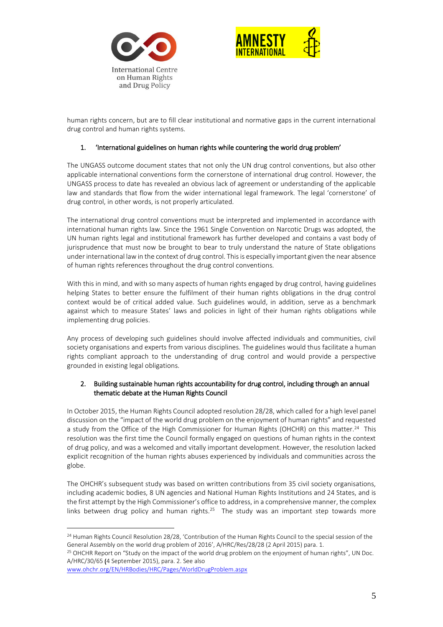



human rights concern, but are to fill clear institutional and normative gaps in the current international drug control and human rights systems.

# 1. 'International guidelines on human rights while countering the world drug problem'

The UNGASS outcome document states that not only the UN drug control conventions, but also other applicable international conventions form the cornerstone of international drug control. However, the UNGASS process to date has revealed an obvious lack of agreement or understanding of the applicable law and standards that flow from the wider international legal framework. The legal 'cornerstone' of drug control, in other words, is not properly articulated.

The international drug control conventions must be interpreted and implemented in accordance with international human rights law. Since the 1961 Single Convention on Narcotic Drugs was adopted, the UN human rights legal and institutional framework has further developed and contains a vast body of jurisprudence that must now be brought to bear to truly understand the nature of State obligations under international law in the context of drug control. This is especially important given the near absence of human rights references throughout the drug control conventions.

With this in mind, and with so many aspects of human rights engaged by drug control, having guidelines helping States to better ensure the fulfilment of their human rights obligations in the drug control context would be of critical added value. Such guidelines would, in addition, serve as a benchmark against which to measure States' laws and policies in light of their human rights obligations while implementing drug policies.

Any process of developing such guidelines should involve affected individuals and communities, civil society organisations and experts from various disciplines. The guidelines would thus facilitate a human rights compliant approach to the understanding of drug control and would provide a perspective grounded in existing legal obligations.

## 2. Building sustainable human rights accountability for drug control, including through an annual thematic debate at the Human Rights Council

In October 2015, the Human Rights Council adopted resolution 28/28, which called for a high level panel discussion on the "impact of the world drug problem on the enjoyment of human rights" and requested a study from the Office of the High Commissioner for Human Rights (OHCHR) on this matter.<sup>24</sup> This resolution was the first time the Council formally engaged on questions of human rights in the context of drug policy, and was a welcomed and vitally important development. However, the resolution lacked explicit recognition of the human rights abuses experienced by individuals and communities across the globe.

The OHCHR's subsequent study was based on written contributions from 35 civil society organisations, including academic bodies, 8 UN agencies and National Human Rights Institutions and 24 States, and is the first attempt by the High Commissioner's office to address, in a comprehensive manner, the complex links between drug policy and human rights.<sup>25</sup> The study was an important step towards more

<sup>25</sup> OHCHR Report on "Study on the impact of the world drug problem on the enjoyment of human rights", UN Doc. A/HRC/30/65 (4 September 2015), para. 2. See also

[www.ohchr.org/EN/HRBodies/HRC/Pages/WorldDrugProblem.aspx](http://www.ohchr.org/EN/HRBodies/HRC/Pages/WorldDrugProblem.aspx)

 $\overline{a}$ 

<sup>&</sup>lt;sup>24</sup> Human Rights Council Resolution 28/28, 'Contribution of the Human Rights Council to the special session of the General Assembly on the world drug problem of 2016', A/HRC/Res/28/28 (2 April 2015) para. 1.